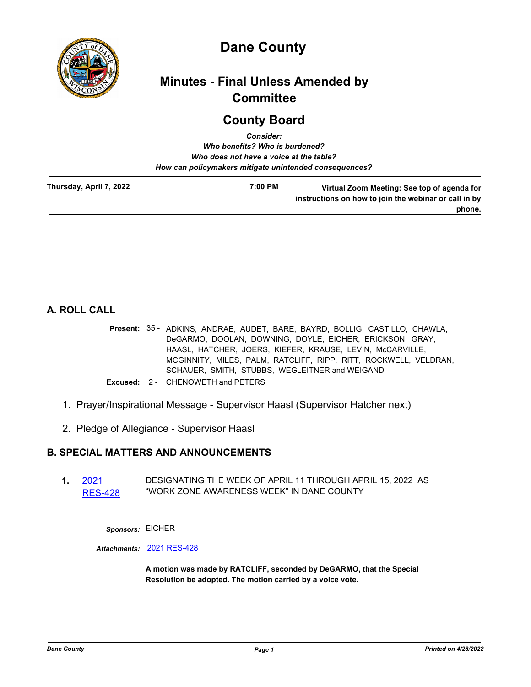

# **Dane County**

# **Minutes - Final Unless Amended by Committee**

# **County Board** *Consider:*

|                         | Consider.                                              |                                                                                                      |
|-------------------------|--------------------------------------------------------|------------------------------------------------------------------------------------------------------|
|                         | Who benefits? Who is burdened?                         |                                                                                                      |
|                         | Who does not have a voice at the table?                |                                                                                                      |
|                         | How can policymakers mitigate unintended consequences? |                                                                                                      |
| Thursday, April 7, 2022 | 7:00 PM                                                | Virtual Zoom Meeting: See top of agenda for<br>instructions on how to join the webinar or call in by |
|                         |                                                        | phone.                                                                                               |

**A. ROLL CALL**

- Present: 35 ADKINS, ANDRAE, AUDET, BARE, BAYRD, BOLLIG, CASTILLO, CHAWLA, DeGARMO, DOOLAN, DOWNING, DOYLE, EICHER, ERICKSON, GRAY, HAASL, HATCHER, JOERS, KIEFER, KRAUSE, LEVIN, McCARVILLE, MCGINNITY, MILES, PALM, RATCLIFF, RIPP, RITT, ROCKWELL, VELDRAN, SCHAUER, SMITH, STUBBS, WEGLEITNER and WEIGAND
- **Excused:** 2 CHENOWETH and PETERS
- 1. Prayer/Inspirational Message Supervisor Haasl (Supervisor Hatcher next)
- 2. Pledge of Allegiance Supervisor Haasl

# **B. SPECIAL MATTERS AND ANNOUNCEMENTS**

**1.** 2021 [RES-428](http://dane.legistar.com/gateway.aspx?m=l&id=/matter.aspx?key=22634) DESIGNATING THE WEEK OF APRIL 11 THROUGH APRIL 15, 2022 AS "WORK ZONE AWARENESS WEEK" IN DANE COUNTY

*Sponsors:* EICHER

*Attachments:* [2021 RES-428](http://dane.legistar.com/gateway.aspx?M=F&ID=18910607-edc3-4ba0-9872-9c3136559b87.pdf)

**A motion was made by RATCLIFF, seconded by DeGARMO, that the Special Resolution be adopted. The motion carried by a voice vote.**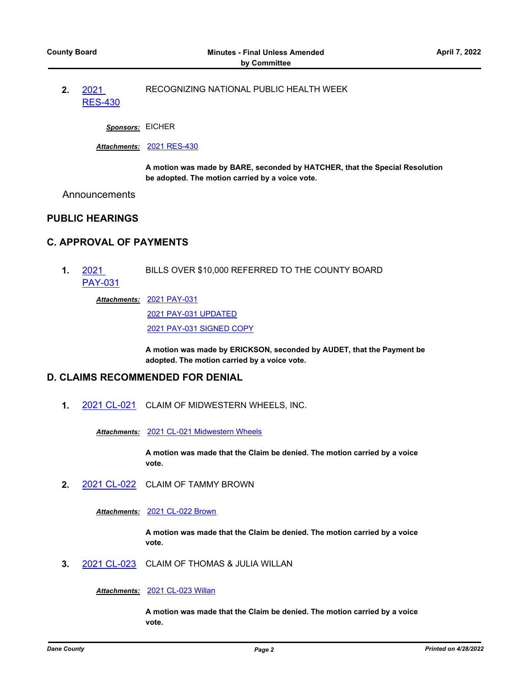**2.** 2021 [RES-430](http://dane.legistar.com/gateway.aspx?m=l&id=/matter.aspx?key=22641) RECOGNIZING NATIONAL PUBLIC HEALTH WEEK

*Sponsors:* EICHER

#### *Attachments:* [2021 RES-430](http://dane.legistar.com/gateway.aspx?M=F&ID=3427f85c-3367-4924-8e70-aa966b995c02.pdf)

**A motion was made by BARE, seconded by HATCHER, that the Special Resolution be adopted. The motion carried by a voice vote.**

Announcements

## **PUBLIC HEARINGS**

## **C. APPROVAL OF PAYMENTS**

**1.** 2021 [PAY-031](http://dane.legistar.com/gateway.aspx?m=l&id=/matter.aspx?key=22633) BILLS OVER \$10,000 REFERRED TO THE COUNTY BOARD

[2021 PAY-031](http://dane.legistar.com/gateway.aspx?M=F&ID=df2364cd-1568-492e-970b-ae3642b20a63.pdf) *Attachments:*

[2021 PAY-031 UPDATED](http://dane.legistar.com/gateway.aspx?M=F&ID=8202fa1d-0268-4ec0-b030-a40db70f8bc8.pdf)

[2021 PAY-031 SIGNED COPY](http://dane.legistar.com/gateway.aspx?M=F&ID=a3db3108-6d1e-4506-8ec3-092cae76709c.pdf)

**A motion was made by ERICKSON, seconded by AUDET, that the Payment be adopted. The motion carried by a voice vote.**

# **D. CLAIMS RECOMMENDED FOR DENIAL**

**1.** [2021 CL-021](http://dane.legistar.com/gateway.aspx?m=l&id=/matter.aspx?key=22540) CLAIM OF MIDWESTERN WHEELS, INC.

*Attachments:* [2021 CL-021 Midwestern Wheels](http://dane.legistar.com/gateway.aspx?M=F&ID=c95589a6-c00f-434b-9f05-731b8ad563d3.pdf)

**A motion was made that the Claim be denied. The motion carried by a voice vote.**

**2.** [2021 CL-022](http://dane.legistar.com/gateway.aspx?m=l&id=/matter.aspx?key=22541) CLAIM OF TAMMY BROWN

*Attachments:* [2021 CL-022 Brown](http://dane.legistar.com/gateway.aspx?M=F&ID=c20000cb-4717-420c-a7b5-fab09d85fc32.pdf)

**A motion was made that the Claim be denied. The motion carried by a voice vote.**

**3.** [2021 CL-023](http://dane.legistar.com/gateway.aspx?m=l&id=/matter.aspx?key=22542) CLAIM OF THOMAS & JULIA WILLAN

*Attachments:* [2021 CL-023 Willan](http://dane.legistar.com/gateway.aspx?M=F&ID=3576e77b-7214-46e6-84dc-9c7007d19efe.pdf)

**A motion was made that the Claim be denied. The motion carried by a voice vote.**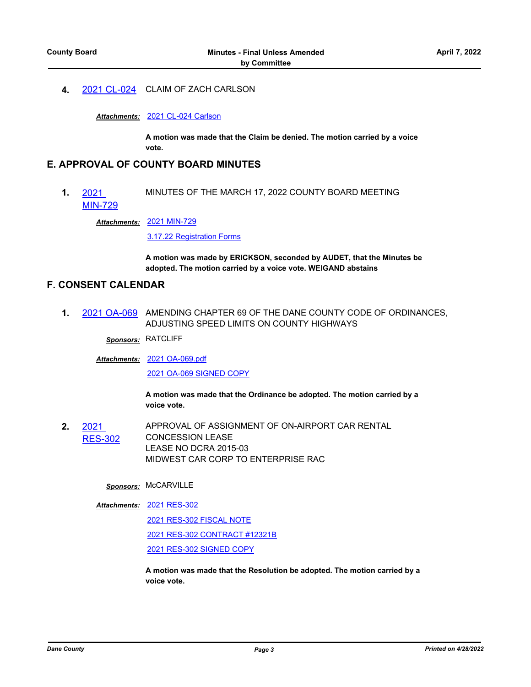**4.** [2021 CL-024](http://dane.legistar.com/gateway.aspx?m=l&id=/matter.aspx?key=22543) CLAIM OF ZACH CARLSON

*Attachments:* [2021 CL-024 Carlson](http://dane.legistar.com/gateway.aspx?M=F&ID=065afacc-29a9-458f-b070-c795a2c050b5.pdf)

**A motion was made that the Claim be denied. The motion carried by a voice vote.**

# **E. APPROVAL OF COUNTY BOARD MINUTES**

**1.** 2021 [MIN-729](http://dane.legistar.com/gateway.aspx?m=l&id=/matter.aspx?key=22632) MINUTES OF THE MARCH 17, 2022 COUNTY BOARD MEETING

[2021 MIN-729](http://dane.legistar.com/gateway.aspx?M=F&ID=c257d084-adb4-430c-b0fe-c33c47f41d47.pdf) *Attachments:*

[3.17.22 Registration Forms](http://dane.legistar.com/gateway.aspx?M=F&ID=1d1ef8c5-5c61-4cd3-924f-3f8edbcdf75a.pdf)

**A motion was made by ERICKSON, seconded by AUDET, that the Minutes be adopted. The motion carried by a voice vote. WEIGAND abstains**

## **F. CONSENT CALENDAR**

**1.** [2021 OA-069](http://dane.legistar.com/gateway.aspx?m=l&id=/matter.aspx?key=22516) AMENDING CHAPTER 69 OF THE DANE COUNTY CODE OF ORDINANCES, ADJUSTING SPEED LIMITS ON COUNTY HIGHWAYS

*Sponsors:* RATCLIFF

[2021 OA-069.pdf](http://dane.legistar.com/gateway.aspx?M=F&ID=1e7065fa-848a-4e5f-b65d-8e10b56e01a6.pdf) *Attachments:* [2021 OA-069 SIGNED COPY](http://dane.legistar.com/gateway.aspx?M=F&ID=31fd5431-220e-4904-8339-c9207154cca1.pdf)

> **A motion was made that the Ordinance be adopted. The motion carried by a voice vote.**

**2.** 2021 [RES-302](http://dane.legistar.com/gateway.aspx?m=l&id=/matter.aspx?key=21891) APPROVAL OF ASSIGNMENT OF ON-AIRPORT CAR RENTAL CONCESSION LEASE LEASE NO DCRA 2015-03 MIDWEST CAR CORP TO ENTERPRISE RAC

## *Sponsors:* McCARVILLE

[2021 RES-302](http://dane.legistar.com/gateway.aspx?M=F&ID=f1aba254-1e43-446b-9811-12adf76ac13c.pdf) *Attachments:* [2021 RES-302 FISCAL NOTE](http://dane.legistar.com/gateway.aspx?M=F&ID=73030a24-11c9-4aa7-ac17-baad32200f42.pdf) [2021 RES-302 CONTRACT #12321B](http://dane.legistar.com/gateway.aspx?M=F&ID=da1d3166-85c6-4ad3-b331-9735d5332530.pdf) [2021 RES-302 SIGNED COPY](http://dane.legistar.com/gateway.aspx?M=F&ID=58b0707e-42a3-4749-a583-e51eae323384.pdf)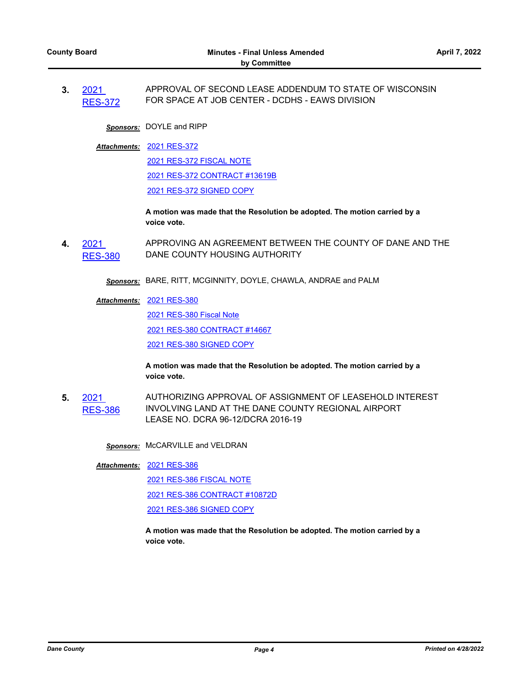**3.** 2021 [RES-372](http://dane.legistar.com/gateway.aspx?m=l&id=/matter.aspx?key=22280) APPROVAL OF SECOND LEASE ADDENDUM TO STATE OF WISCONSIN FOR SPACE AT JOB CENTER - DCDHS - EAWS DIVISION

*Sponsors:* DOYLE and RIPP

[2021 RES-372](http://dane.legistar.com/gateway.aspx?M=F&ID=38aa3798-a2d3-419d-8d6c-d9d925e9d48f.pdf) *Attachments:*

[2021 RES-372 FISCAL NOTE](http://dane.legistar.com/gateway.aspx?M=F&ID=08768077-78e6-4407-bb52-80b0d6bc2a29.pdf) [2021 RES-372 CONTRACT #13619B](http://dane.legistar.com/gateway.aspx?M=F&ID=d9e7a73b-7c03-4a70-972d-df7df220d453.pdf)

[2021 RES-372 SIGNED COPY](http://dane.legistar.com/gateway.aspx?M=F&ID=157c4a24-fd50-459d-880e-50ca77afed48.pdf)

**A motion was made that the Resolution be adopted. The motion carried by a voice vote.**

**4.** 2021 [RES-380](http://dane.legistar.com/gateway.aspx?m=l&id=/matter.aspx?key=22299) APPROVING AN AGREEMENT BETWEEN THE COUNTY OF DANE AND THE DANE COUNTY HOUSING AUTHORITY

*Sponsors:* BARE, RITT, MCGINNITY, DOYLE, CHAWLA, ANDRAE and PALM

#### [2021 RES-380](http://dane.legistar.com/gateway.aspx?M=F&ID=2b2cb83b-2461-4bbf-b188-180c8c46e00f.pdf) *Attachments:*

[2021 RES-380 Fiscal Note](http://dane.legistar.com/gateway.aspx?M=F&ID=60b51a2a-3a13-476e-9e41-8b1a35724412.pdf)

[2021 RES-380 CONTRACT #14667](http://dane.legistar.com/gateway.aspx?M=F&ID=074ff58c-bc86-435c-ac34-d2f86d31392f.pdf)

[2021 RES-380 SIGNED COPY](http://dane.legistar.com/gateway.aspx?M=F&ID=9ac98a37-6a41-48ea-b153-751dea00a8e6.pdf)

**A motion was made that the Resolution be adopted. The motion carried by a voice vote.**

**5.** 2021  $ES-386$ AUTHORIZING APPROVAL OF ASSIGNMENT OF LEASEHOLD INTEREST INVOLVING LAND AT THE DANE COUNTY REGIONAL AIRPORT LEASE NO. DCRA 96-12/DCRA 2016-19

*Sponsors:* McCARVILLE and VELDRAN

[2021 RES-386](http://dane.legistar.com/gateway.aspx?M=F&ID=0ccd6b21-3653-41cd-a8e2-62a528b0d769.pdf) *Attachments:*

[2021 RES-386 FISCAL NOTE](http://dane.legistar.com/gateway.aspx?M=F&ID=5eea54dc-122b-482e-ac8d-1c14824d821d.pdf)

[2021 RES-386 CONTRACT #10872D](http://dane.legistar.com/gateway.aspx?M=F&ID=5845bd65-e033-4d51-9204-e6f5ef5fd43b.pdf)

[2021 RES-386 SIGNED COPY](http://dane.legistar.com/gateway.aspx?M=F&ID=66996f36-7932-4517-8047-1ad571bb8c1f.pdf)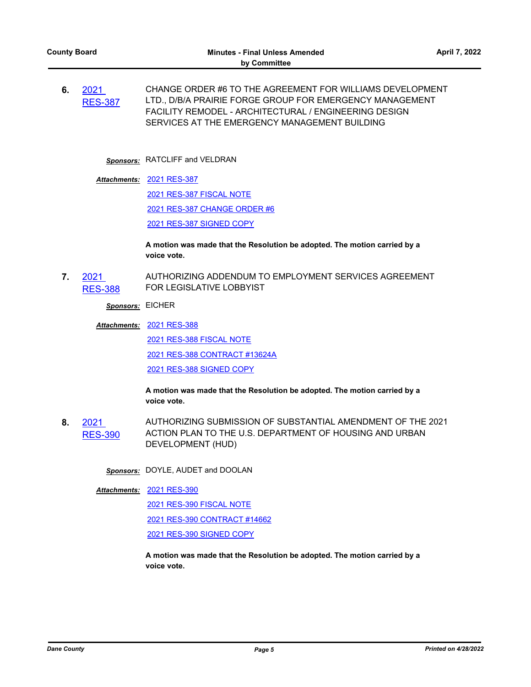**6.** 2021 [RES-387](http://dane.legistar.com/gateway.aspx?m=l&id=/matter.aspx?key=22363) CHANGE ORDER #6 TO THE AGREEMENT FOR WILLIAMS DEVELOPMENT LTD., D/B/A PRAIRIE FORGE GROUP FOR EMERGENCY MANAGEMENT FACILITY REMODEL - ARCHITECTURAL / ENGINEERING DESIGN SERVICES AT THE EMERGENCY MANAGEMENT BUILDING

## *Sponsors:* RATCLIFF and VELDRAN

#### [2021 RES-387](http://dane.legistar.com/gateway.aspx?M=F&ID=2be5ac56-06be-4ca0-ab56-04e2dd3dcd37.pdf) *Attachments:*

[2021 RES-387 FISCAL NOTE](http://dane.legistar.com/gateway.aspx?M=F&ID=9a757439-da87-41a5-acbc-55ee0e006925.pdf)

[2021 RES-387 CHANGE ORDER #6](http://dane.legistar.com/gateway.aspx?M=F&ID=ac61d0fc-b6ba-49b8-a8c5-736466e89276.pdf)

[2021 RES-387 SIGNED COPY](http://dane.legistar.com/gateway.aspx?M=F&ID=19a3070d-0aa7-44dd-aba6-e9a93f19c51a.pdf)

**A motion was made that the Resolution be adopted. The motion carried by a voice vote.**

**7.** 2021 [RES-388](http://dane.legistar.com/gateway.aspx?m=l&id=/matter.aspx?key=22365) AUTHORIZING ADDENDUM TO EMPLOYMENT SERVICES AGREEMENT FOR LEGISLATIVE LOBBYIST

*Sponsors:* EICHER

[2021 RES-388](http://dane.legistar.com/gateway.aspx?M=F&ID=f005f04f-0054-4d25-95aa-2ee4d6928429.pdf) *Attachments:*

[2021 RES-388 FISCAL NOTE](http://dane.legistar.com/gateway.aspx?M=F&ID=a7d8f61c-5390-4f0d-84d6-4d0ca5b5efd1.pdf) [2021 RES-388 CONTRACT #13624A](http://dane.legistar.com/gateway.aspx?M=F&ID=d326434a-a7e2-4275-8245-b0e0d412e6ea.pdf) [2021 RES-388 SIGNED COPY](http://dane.legistar.com/gateway.aspx?M=F&ID=661ed297-525f-46fb-b7af-d356cf6f3f2f.pdf)

**A motion was made that the Resolution be adopted. The motion carried by a voice vote.**

**8.** 2021 [RES-390](http://dane.legistar.com/gateway.aspx?m=l&id=/matter.aspx?key=22381) AUTHORIZING SUBMISSION OF SUBSTANTIAL AMENDMENT OF THE 2021 ACTION PLAN TO THE U.S. DEPARTMENT OF HOUSING AND URBAN DEVELOPMENT (HUD)

*Sponsors:* DOYLE, AUDET and DOOLAN

[2021 RES-390](http://dane.legistar.com/gateway.aspx?M=F&ID=74b854ab-ae5d-4662-be4b-d17414cfdde7.pdf) *Attachments:*

[2021 RES-390 FISCAL NOTE](http://dane.legistar.com/gateway.aspx?M=F&ID=d310c3b6-56b0-4867-9804-720f87275a0a.pdf)

[2021 RES-390 CONTRACT #14662](http://dane.legistar.com/gateway.aspx?M=F&ID=29665e8e-641e-49aa-af9e-7e0cfcb6ef03.pdf)

[2021 RES-390 SIGNED COPY](http://dane.legistar.com/gateway.aspx?M=F&ID=6a5a7279-e1f4-4821-9518-acc369eac09c.pdf)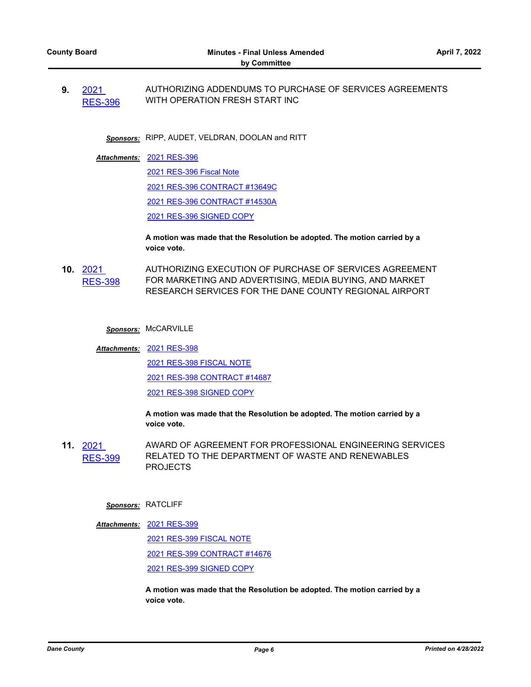**9.** 2021 [RES-396](http://dane.legistar.com/gateway.aspx?m=l&id=/matter.aspx?key=22404) AUTHORIZING ADDENDUMS TO PURCHASE OF SERVICES AGREEMENTS WITH OPERATION FRESH START INC

*Sponsors:* RIPP, AUDET, VELDRAN, DOOLAN and RITT

[2021 RES-396](http://dane.legistar.com/gateway.aspx?M=F&ID=0f7f394b-a317-4dc4-aa58-3b1945f6814e.pdf) *Attachments:*

[2021 RES-396 Fiscal Note](http://dane.legistar.com/gateway.aspx?M=F&ID=bead2f46-096e-49ff-896f-2a3fbcbf4314.pdf) [2021 RES-396 CONTRACT #13649C](http://dane.legistar.com/gateway.aspx?M=F&ID=47c44209-f73d-4d7c-bbdd-5d684f5de3cf.pdf) [2021 RES-396 CONTRACT #14530A](http://dane.legistar.com/gateway.aspx?M=F&ID=31187149-3b51-453f-8fab-ced5f66e1592.pdf) [2021 RES-396 SIGNED COPY](http://dane.legistar.com/gateway.aspx?M=F&ID=2da51786-5e70-456d-b003-9d5585d4219e.pdf)

**A motion was made that the Resolution be adopted. The motion carried by a voice vote.**

**10.** 2021 [RES-398](http://dane.legistar.com/gateway.aspx?m=l&id=/matter.aspx?key=22407) AUTHORIZING EXECUTION OF PURCHASE OF SERVICES AGREEMENT FOR MARKETING AND ADVERTISING, MEDIA BUYING, AND MARKET RESEARCH SERVICES FOR THE DANE COUNTY REGIONAL AIRPORT

*Sponsors:* McCARVILLE

[2021 RES-398](http://dane.legistar.com/gateway.aspx?M=F&ID=91e94a54-0e2c-4848-bb6b-5a2d080fa803.pdf) *Attachments:*

[2021 RES-398 FISCAL NOTE](http://dane.legistar.com/gateway.aspx?M=F&ID=9e2cbdc8-cddf-45ee-951b-9ba97806bfb3.pdf)

[2021 RES-398 CONTRACT #14687](http://dane.legistar.com/gateway.aspx?M=F&ID=e6ff55b5-9b27-45a1-90b4-f4efd7453765.pdf)

[2021 RES-398 SIGNED COPY](http://dane.legistar.com/gateway.aspx?M=F&ID=45a99575-f01d-4d27-a811-dc48deeb9325.pdf)

**A motion was made that the Resolution be adopted. The motion carried by a voice vote.**

**11.** 2021 [RES-399](http://dane.legistar.com/gateway.aspx?m=l&id=/matter.aspx?key=22410) AWARD OF AGREEMENT FOR PROFESSIONAL ENGINEERING SERVICES RELATED TO THE DEPARTMENT OF WASTE AND RENEWABLES PROJECTS

#### *Sponsors:* RATCLIFF

[2021 RES-399](http://dane.legistar.com/gateway.aspx?M=F&ID=5c1def44-4648-4c73-b82a-a158a9a72d5b.pdf) *Attachments:*

[2021 RES-399 FISCAL NOTE](http://dane.legistar.com/gateway.aspx?M=F&ID=e93ca587-c7eb-4b7a-9bd1-f033f3973266.pdf) [2021 RES-399 CONTRACT #14676](http://dane.legistar.com/gateway.aspx?M=F&ID=76afa246-06ed-4e09-a607-59f22a75d8f1.pdf) [2021 RES-399 SIGNED COPY](http://dane.legistar.com/gateway.aspx?M=F&ID=12f42b6a-8686-4292-bea3-8e0841fefaa2.pdf)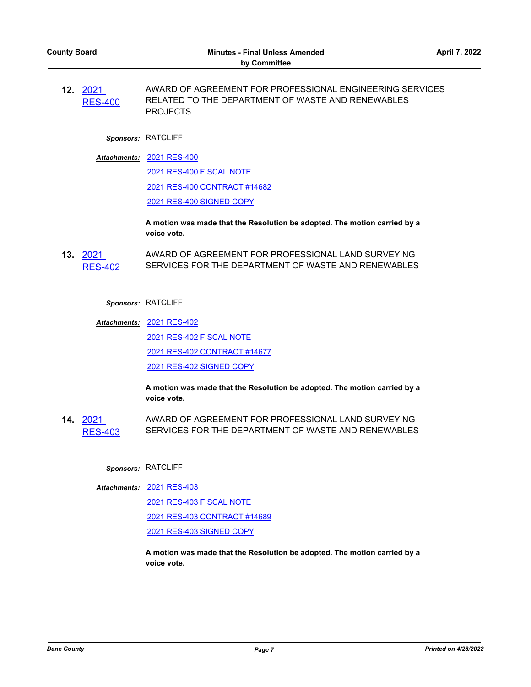**12.** 2021 [RES-400](http://dane.legistar.com/gateway.aspx?m=l&id=/matter.aspx?key=22411) AWARD OF AGREEMENT FOR PROFESSIONAL ENGINEERING SERVICES RELATED TO THE DEPARTMENT OF WASTE AND RENEWABLES PROJECTS

# *Sponsors:* RATCLIFF

[2021 RES-400](http://dane.legistar.com/gateway.aspx?M=F&ID=4da6e1a3-9dcb-4e95-bb28-d2ded02e0012.pdf) *Attachments:* [2021 RES-400 FISCAL NOTE](http://dane.legistar.com/gateway.aspx?M=F&ID=175b742c-77a4-47b0-ba23-8cf010e3cd46.pdf) [2021 RES-400 CONTRACT #14682](http://dane.legistar.com/gateway.aspx?M=F&ID=551b5a15-c724-4d24-94c6-d2049089516e.pdf) [2021 RES-400 SIGNED COPY](http://dane.legistar.com/gateway.aspx?M=F&ID=e84cd133-91bb-4e5a-956c-00bfb64e4697.pdf)

> **A motion was made that the Resolution be adopted. The motion carried by a voice vote.**

**13.** 2021 [RES-402](http://dane.legistar.com/gateway.aspx?m=l&id=/matter.aspx?key=22413) AWARD OF AGREEMENT FOR PROFESSIONAL LAND SURVEYING SERVICES FOR THE DEPARTMENT OF WASTE AND RENEWABLES

## *Sponsors:* RATCLIFF

[2021 RES-402](http://dane.legistar.com/gateway.aspx?M=F&ID=0bffbade-94f0-4b20-a2ee-422304b2015b.pdf) *Attachments:* [2021 RES-402 FISCAL NOTE](http://dane.legistar.com/gateway.aspx?M=F&ID=2a2d6afc-5011-4525-b63e-9585515cbf57.pdf) [2021 RES-402 CONTRACT #14677](http://dane.legistar.com/gateway.aspx?M=F&ID=7daf888d-ec55-40b7-95a5-47baa3b58c12.pdf) [2021 RES-402 SIGNED COPY](http://dane.legistar.com/gateway.aspx?M=F&ID=a0aa0915-2773-4aaa-a749-447c61868ad5.pdf)

> **A motion was made that the Resolution be adopted. The motion carried by a voice vote.**

**14.** 2021 [RES-403](http://dane.legistar.com/gateway.aspx?m=l&id=/matter.aspx?key=22414) AWARD OF AGREEMENT FOR PROFESSIONAL LAND SURVEYING SERVICES FOR THE DEPARTMENT OF WASTE AND RENEWABLES

## *Sponsors:* RATCLIFF

[2021 RES-403](http://dane.legistar.com/gateway.aspx?M=F&ID=ae1c24bb-efa8-4c35-8a7d-40c8128d98dd.pdf) *Attachments:*

[2021 RES-403 FISCAL NOTE](http://dane.legistar.com/gateway.aspx?M=F&ID=2f258008-0b79-40c5-98fa-fa64d9035e4b.pdf)

[2021 RES-403 CONTRACT #14689](http://dane.legistar.com/gateway.aspx?M=F&ID=166a6528-c0c8-4eb1-a2be-b481f725ba24.pdf)

[2021 RES-403 SIGNED COPY](http://dane.legistar.com/gateway.aspx?M=F&ID=8b45002a-d612-4118-8f0e-2f08b7dc7605.pdf)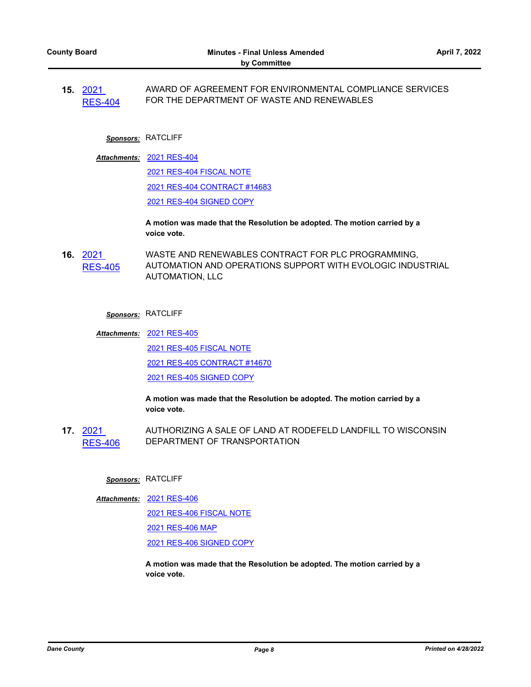**15.** 2021 [RES-404](http://dane.legistar.com/gateway.aspx?m=l&id=/matter.aspx?key=22415) AWARD OF AGREEMENT FOR ENVIRONMENTAL COMPLIANCE SERVICES FOR THE DEPARTMENT OF WASTE AND RENEWABLES

#### *Sponsors:* RATCLIFF

[2021 RES-404](http://dane.legistar.com/gateway.aspx?M=F&ID=1c4193ed-8d40-4d0f-aa60-1f60b3d9d2a7.pdf) *Attachments:* [2021 RES-404 FISCAL NOTE](http://dane.legistar.com/gateway.aspx?M=F&ID=8a356e8a-53e7-4e84-96fc-94b961c39633.pdf) [2021 RES-404 CONTRACT #14683](http://dane.legistar.com/gateway.aspx?M=F&ID=b4ff831d-b243-49da-bc3c-08d65ccd696b.pdf) [2021 RES-404 SIGNED COPY](http://dane.legistar.com/gateway.aspx?M=F&ID=569b4813-68f2-485f-a906-4c774d9fb4fc.pdf)

> **A motion was made that the Resolution be adopted. The motion carried by a voice vote.**

**16.** 2021 [RES-405](http://dane.legistar.com/gateway.aspx?m=l&id=/matter.aspx?key=22416) WASTE AND RENEWABLES CONTRACT FOR PLC PROGRAMMING, AUTOMATION AND OPERATIONS SUPPORT WITH EVOLOGIC INDUSTRIAL AUTOMATION, LLC

#### *Sponsors:* RATCLIFF

[2021 RES-405](http://dane.legistar.com/gateway.aspx?M=F&ID=b5431f31-1a42-46eb-a62c-6cd4cfbc679f.pdf) *Attachments:* [2021 RES-405 FISCAL NOTE](http://dane.legistar.com/gateway.aspx?M=F&ID=93157ee7-0edf-4681-b5bd-1e0ed02ab8ec.pdf) [2021 RES-405 CONTRACT #14670](http://dane.legistar.com/gateway.aspx?M=F&ID=38f665e6-000f-41f3-8008-bb7592d8bfee.pdf) [2021 RES-405 SIGNED COPY](http://dane.legistar.com/gateway.aspx?M=F&ID=a5b6b68a-6c2a-4bae-a17c-852f4ee81949.pdf)

> **A motion was made that the Resolution be adopted. The motion carried by a voice vote.**

**17.** 2021 [RES-406](http://dane.legistar.com/gateway.aspx?m=l&id=/matter.aspx?key=22420) AUTHORIZING A SALE OF LAND AT RODEFELD LANDFILL TO WISCONSIN DEPARTMENT OF TRANSPORTATION

#### *Sponsors:* RATCLIFF

[2021 RES-406](http://dane.legistar.com/gateway.aspx?M=F&ID=0ed38370-3376-4459-90f0-fce8cbb527c1.pdf) *Attachments:*

[2021 RES-406 FISCAL NOTE](http://dane.legistar.com/gateway.aspx?M=F&ID=d7a02ac8-9f60-498c-89ba-e078ba628d8c.pdf)

[2021 RES-406 MAP](http://dane.legistar.com/gateway.aspx?M=F&ID=612aed60-693a-4d33-8dfb-0c42aca323f9.pdf)

[2021 RES-406 SIGNED COPY](http://dane.legistar.com/gateway.aspx?M=F&ID=d4625e61-bfa4-4f9c-83d2-1c0e5775905b.pdf)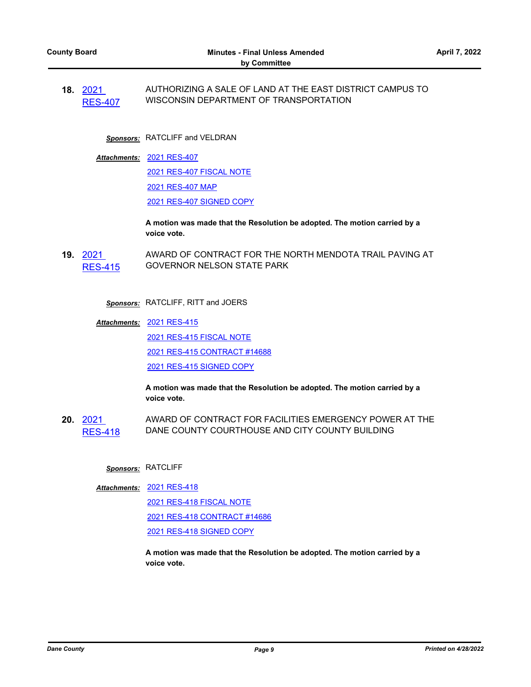**18.** 2021 [RES-407](http://dane.legistar.com/gateway.aspx?m=l&id=/matter.aspx?key=22421) AUTHORIZING A SALE OF LAND AT THE EAST DISTRICT CAMPUS TO WISCONSIN DEPARTMENT OF TRANSPORTATION

*Sponsors:* RATCLIFF and VELDRAN

[2021 RES-407](http://dane.legistar.com/gateway.aspx?M=F&ID=7c2f9a50-b47f-47db-aaa4-6411c67763e0.pdf) *Attachments:* [2021 RES-407 FISCAL NOTE](http://dane.legistar.com/gateway.aspx?M=F&ID=221aaca6-f8de-48d3-a1f3-0ad17d2c6104.pdf) [2021 RES-407 MAP](http://dane.legistar.com/gateway.aspx?M=F&ID=a02b3906-a1b2-43ea-99ca-0d0918bfd85a.pdf) [2021 RES-407 SIGNED COPY](http://dane.legistar.com/gateway.aspx?M=F&ID=c7a526c0-990e-4f15-bfaf-db9890bba5c1.pdf)

> **A motion was made that the Resolution be adopted. The motion carried by a voice vote.**

**19.** 2021 [RES-415](http://dane.legistar.com/gateway.aspx?m=l&id=/matter.aspx?key=22517) AWARD OF CONTRACT FOR THE NORTH MENDOTA TRAIL PAVING AT GOVERNOR NELSON STATE PARK

*Sponsors:* RATCLIFF, RITT and JOERS

[2021 RES-415](http://dane.legistar.com/gateway.aspx?M=F&ID=fd858b08-fbe6-46fd-b074-b8907a568e99.pdf) *Attachments:* [2021 RES-415 FISCAL NOTE](http://dane.legistar.com/gateway.aspx?M=F&ID=08d21d02-38fb-4681-b561-e510fdfc110f.pdf) [2021 RES-415 CONTRACT #14688](http://dane.legistar.com/gateway.aspx?M=F&ID=5a2578f8-0ae6-4ad9-b175-a1cdf7354eff.pdf) [2021 RES-415 SIGNED COPY](http://dane.legistar.com/gateway.aspx?M=F&ID=e7479239-616f-4266-a8c1-40194e317fb3.pdf)

> **A motion was made that the Resolution be adopted. The motion carried by a voice vote.**

**20.** 2021 [RES-418](http://dane.legistar.com/gateway.aspx?m=l&id=/matter.aspx?key=22525) AWARD OF CONTRACT FOR FACILITIES EMERGENCY POWER AT THE DANE COUNTY COURTHOUSE AND CITY COUNTY BUILDING

# *Sponsors:* RATCLIFF

[2021 RES-418](http://dane.legistar.com/gateway.aspx?M=F&ID=01829694-55ae-4255-9a1e-091d85606a1d.pdf) *Attachments:*

[2021 RES-418 FISCAL NOTE](http://dane.legistar.com/gateway.aspx?M=F&ID=a2bf3a57-c1f8-4a23-9a01-f7503be30506.pdf)

[2021 RES-418 CONTRACT #14686](http://dane.legistar.com/gateway.aspx?M=F&ID=2f1d4fc5-1585-4f2b-9f84-94f3a9e5b4ce.pdf)

[2021 RES-418 SIGNED COPY](http://dane.legistar.com/gateway.aspx?M=F&ID=a2eb0bc3-1e53-4f09-9939-62628959a84e.pdf)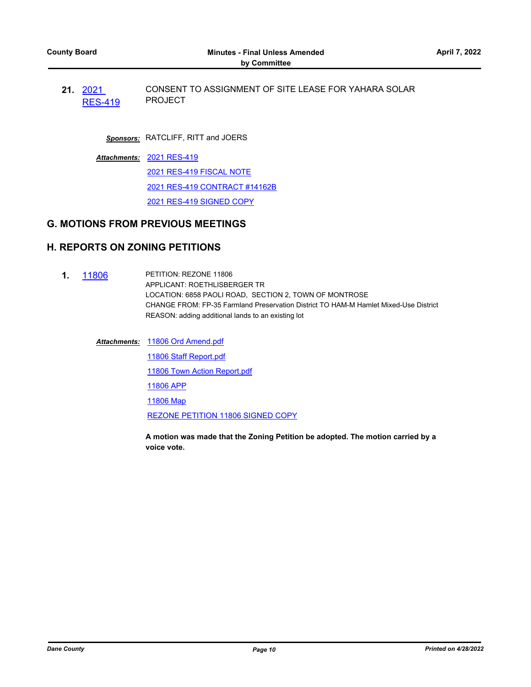**21.** 2021 [RES-419](http://dane.legistar.com/gateway.aspx?m=l&id=/matter.aspx?key=22531) CONSENT TO ASSIGNMENT OF SITE LEASE FOR YAHARA SOLAR PROJECT

*Sponsors:* RATCLIFF, RITT and JOERS

[2021 RES-419](http://dane.legistar.com/gateway.aspx?M=F&ID=d7ed9361-4b63-4d36-b2e7-f4fe87f8d558.pdf) *Attachments:* [2021 RES-419 FISCAL NOTE](http://dane.legistar.com/gateway.aspx?M=F&ID=2e704b05-5713-42f0-88cb-6652bd172986.pdf) [2021 RES-419 CONTRACT #14162B](http://dane.legistar.com/gateway.aspx?M=F&ID=7aef46be-2e41-4b78-9b61-fb9d859e5546.pdf) [2021 RES-419 SIGNED COPY](http://dane.legistar.com/gateway.aspx?M=F&ID=66e24ccd-18d9-4837-a124-2619c88198b0.pdf)

## **G. MOTIONS FROM PREVIOUS MEETINGS**

## **H. REPORTS ON ZONING PETITIONS**

- **1.** [11806](http://dane.legistar.com/gateway.aspx?m=l&id=/matter.aspx?key=22113) PETITION: REZONE 11806 APPLICANT: ROETHLISBERGER TR LOCATION: 6858 PAOLI ROAD, SECTION 2, TOWN OF MONTROSE CHANGE FROM: FP-35 Farmland Preservation District TO HAM-M Hamlet Mixed-Use District REASON: adding additional lands to an existing lot
	- [11806 Ord Amend.pdf](http://dane.legistar.com/gateway.aspx?M=F&ID=19106e86-a52b-44bd-9c6c-4da1e0754dac.pdf) *Attachments:* [11806 Staff Report.pdf](http://dane.legistar.com/gateway.aspx?M=F&ID=14c3ad6a-5d83-4180-be7e-0fdb7921fb93.pdf) [11806 Town Action Report.pdf](http://dane.legistar.com/gateway.aspx?M=F&ID=a2d53b2e-005e-49f6-9274-6ef278ab3499.pdf) [11806 APP](http://dane.legistar.com/gateway.aspx?M=F&ID=716d0a13-724e-403d-91a7-31eb0ff99162.pdf) [11806 Map](http://dane.legistar.com/gateway.aspx?M=F&ID=13247111-981b-4340-8b8d-5ae75aefbab6.pdf) [REZONE PETITION 11806 SIGNED COPY](http://dane.legistar.com/gateway.aspx?M=F&ID=1af9c504-5f7c-4894-9310-d418b64d46ab.pdf)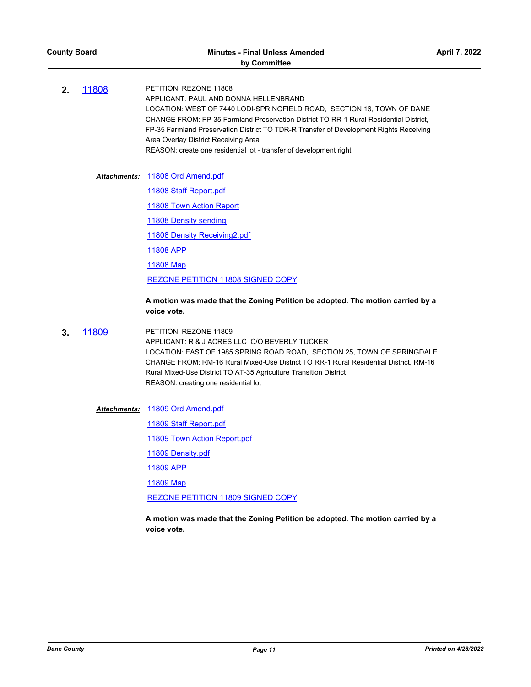**2.** [11808](http://dane.legistar.com/gateway.aspx?m=l&id=/matter.aspx?key=22115) PETITION: REZONE 11808 APPLICANT: PAUL AND DONNA HELLENBRAND LOCATION: WEST OF 7440 LODI-SPRINGFIELD ROAD, SECTION 16, TOWN OF DANE CHANGE FROM: FP-35 Farmland Preservation District TO RR-1 Rural Residential District, FP-35 Farmland Preservation District TO TDR-R Transfer of Development Rights Receiving Area Overlay District Receiving Area REASON: create one residential lot - transfer of development right

Attachments: [11808 Ord Amend.pdf](http://dane.legistar.com/gateway.aspx?M=F&ID=6aa98e5b-2d18-4dff-9a43-0d4f7e46b764.pdf)

[11808 Staff Report.pdf](http://dane.legistar.com/gateway.aspx?M=F&ID=e219c5b3-233c-4374-82ae-2a764bedbbdd.pdf)

[11808 Town Action Report](http://dane.legistar.com/gateway.aspx?M=F&ID=aa48c6d4-e49b-46df-bbea-387c13877008.pdf)

[11808 Density sending](http://dane.legistar.com/gateway.aspx?M=F&ID=ef79490e-393a-4845-9ef1-1c7c370fe39e.pdf)

[11808 Density Receiving2.pdf](http://dane.legistar.com/gateway.aspx?M=F&ID=cdb0751e-24b8-47c7-8295-e65496c07423.pdf)

[11808 APP](http://dane.legistar.com/gateway.aspx?M=F&ID=3b348d63-16d4-4785-8d8f-73cd6890f293.pdf)

[11808 Map](http://dane.legistar.com/gateway.aspx?M=F&ID=1564311a-2776-444b-bada-588a7b7553ba.pdf)

[REZONE PETITION 11808 SIGNED COPY](http://dane.legistar.com/gateway.aspx?M=F&ID=c82a88eb-9723-4c89-822c-00880b6f780f.pdf)

#### **A motion was made that the Zoning Petition be adopted. The motion carried by a voice vote.**

**3.** [11809](http://dane.legistar.com/gateway.aspx?m=l&id=/matter.aspx?key=22116) PETITION: REZONE 11809 APPLICANT: R & J ACRES LLC C/O BEVERLY TUCKER LOCATION: EAST OF 1985 SPRING ROAD ROAD, SECTION 25, TOWN OF SPRINGDALE CHANGE FROM: RM-16 Rural Mixed-Use District TO RR-1 Rural Residential District, RM-16 Rural Mixed-Use District TO AT-35 Agriculture Transition District REASON: creating one residential lot

[11809 Ord Amend.pdf](http://dane.legistar.com/gateway.aspx?M=F&ID=afcecd36-5e03-4724-828a-8634ad1bae3a.pdf) *Attachments:*

[11809 Staff Report.pdf](http://dane.legistar.com/gateway.aspx?M=F&ID=7808dc71-f8e6-4f43-b7c3-e905c21ac266.pdf)

[11809 Town Action Report.pdf](http://dane.legistar.com/gateway.aspx?M=F&ID=6f3771bf-f3ac-441e-9940-20a21b04e2e8.pdf)

[11809 Density.pdf](http://dane.legistar.com/gateway.aspx?M=F&ID=48cc7b0f-08a1-4500-bfa4-d19655b1754a.pdf)

[11809 APP](http://dane.legistar.com/gateway.aspx?M=F&ID=c5edef13-644f-4f40-adeb-1b08f46f99ec.pdf)

[11809 Map](http://dane.legistar.com/gateway.aspx?M=F&ID=6b994e41-3035-4d8e-a4b3-0eaccd645900.pdf)

[REZONE PETITION 11809 SIGNED COPY](http://dane.legistar.com/gateway.aspx?M=F&ID=82426477-da5a-41c6-b19f-a3873bded9b9.pdf)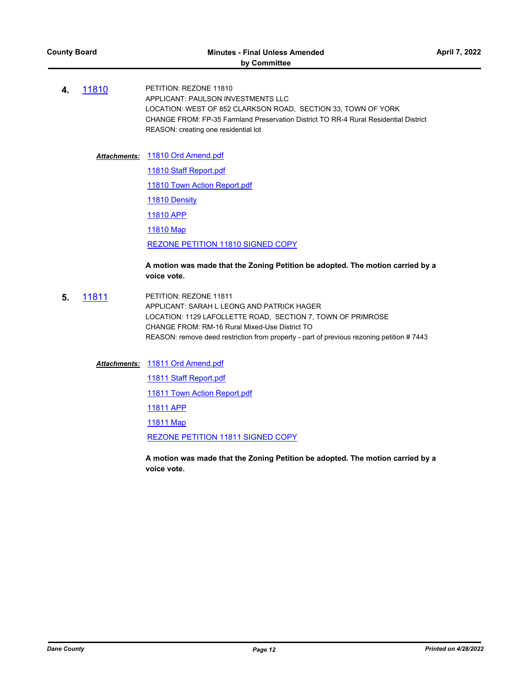#### Attachments: [11810 Ord Amend.pdf](http://dane.legistar.com/gateway.aspx?M=F&ID=d3a14449-628b-4ba8-9933-3130df649a1b.pdf)

[11810 Staff Report.pdf](http://dane.legistar.com/gateway.aspx?M=F&ID=9d1bf9de-c8b4-46f9-bfc0-be533e6ba8bd.pdf) [11810 Town Action Report.pdf](http://dane.legistar.com/gateway.aspx?M=F&ID=502b99e0-5bc1-4afd-9a67-49e319f6c6c9.pdf) [11810 Density](http://dane.legistar.com/gateway.aspx?M=F&ID=16191c82-b13f-4fdf-8f27-2e2d047aec2a.pdf) [11810 APP](http://dane.legistar.com/gateway.aspx?M=F&ID=f94fe0fe-0fe2-4fbb-b2bb-7a814d5c7501.pdf) [11810 Map](http://dane.legistar.com/gateway.aspx?M=F&ID=429ae4f8-53c1-4184-9004-128387c77f18.pdf) [REZONE PETITION 11810 SIGNED COPY](http://dane.legistar.com/gateway.aspx?M=F&ID=f0eb5f4c-f952-45cd-902e-3a1226661ce9.pdf)

## **A motion was made that the Zoning Petition be adopted. The motion carried by a voice vote.**

**5.** [11811](http://dane.legistar.com/gateway.aspx?m=l&id=/matter.aspx?key=22118) PETITION: REZONE 11811 APPLICANT: SARAH L LEONG AND PATRICK HAGER LOCATION: 1129 LAFOLLETTE ROAD, SECTION 7, TOWN OF PRIMROSE CHANGE FROM: RM-16 Rural Mixed-Use District TO REASON: remove deed restriction from property - part of previous rezoning petition # 7443

Attachments: [11811 Ord Amend.pdf](http://dane.legistar.com/gateway.aspx?M=F&ID=085083a5-6aff-4547-b5db-cdd668fd6fee.pdf)

[11811 Staff Report.pdf](http://dane.legistar.com/gateway.aspx?M=F&ID=b1a815e2-a9dd-473a-a740-14a1f20445ad.pdf)

[11811 Town Action Report.pdf](http://dane.legistar.com/gateway.aspx?M=F&ID=ec47c731-388c-4eaa-9475-f4e900a2801d.pdf)

[11811 APP](http://dane.legistar.com/gateway.aspx?M=F&ID=b8938ffd-89af-45ee-8135-c4b6a9c54fb5.pdf)

[11811 Map](http://dane.legistar.com/gateway.aspx?M=F&ID=0e209fae-23d0-4c1b-9da7-ff1e85145b06.pdf)

[REZONE PETITION 11811 SIGNED COPY](http://dane.legistar.com/gateway.aspx?M=F&ID=0d9aa636-8a28-4637-9829-10c4423ac940.pdf)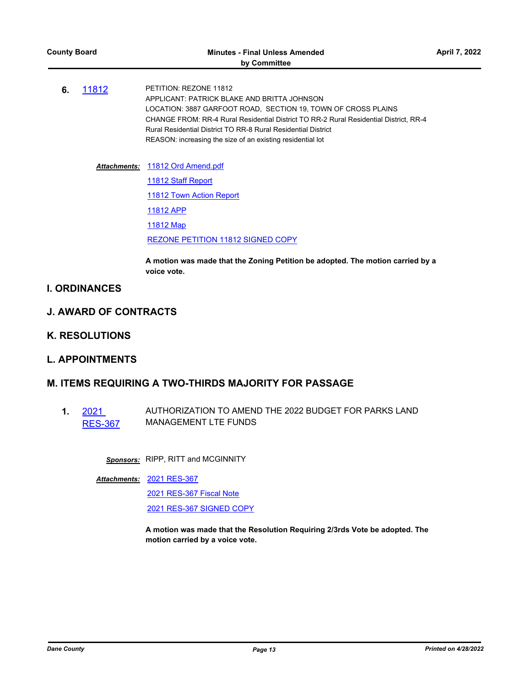**6.** [11812](http://dane.legistar.com/gateway.aspx?m=l&id=/matter.aspx?key=22119) PETITION: REZONE 11812 APPLICANT: PATRICK BLAKE AND BRITTA JOHNSON LOCATION: 3887 GARFOOT ROAD, SECTION 19, TOWN OF CROSS PLAINS CHANGE FROM: RR-4 Rural Residential District TO RR-2 Rural Residential District, RR-4 Rural Residential District TO RR-8 Rural Residential District REASON: increasing the size of an existing residential lot

#### Attachments: [11812 Ord Amend.pdf](http://dane.legistar.com/gateway.aspx?M=F&ID=538975ec-302c-4e29-9b87-41b63ed8edf9.pdf)

[11812 Staff Report](http://dane.legistar.com/gateway.aspx?M=F&ID=d1e78c36-7c68-4f54-b661-ccfa4ac23053.pdf) **[11812 Town Action Report](http://dane.legistar.com/gateway.aspx?M=F&ID=af756989-0967-4cd5-86db-6fb6d657d7d5.pdf)** [11812 APP](http://dane.legistar.com/gateway.aspx?M=F&ID=b845d76c-3d95-4a2b-be07-9d64f6f82e23.pdf) [11812 Map](http://dane.legistar.com/gateway.aspx?M=F&ID=9e8f81b2-a7fc-47dc-aa5c-0deb2283fa71.pdf) [REZONE PETITION 11812 SIGNED COPY](http://dane.legistar.com/gateway.aspx?M=F&ID=5c4913f1-a062-4aaf-922c-fc7d4324cbd5.pdf)

**A motion was made that the Zoning Petition be adopted. The motion carried by a voice vote.**

- **I. ORDINANCES**
- **J. AWARD OF CONTRACTS**
- **K. RESOLUTIONS**
- **L. APPOINTMENTS**

# **M. ITEMS REQUIRING A TWO-THIRDS MAJORITY FOR PASSAGE**

**1.** 2021 [RES-367](http://dane.legistar.com/gateway.aspx?m=l&id=/matter.aspx?key=22267) AUTHORIZATION TO AMEND THE 2022 BUDGET FOR PARKS LAND MANAGEMENT LTE FUNDS

*Sponsors:* RIPP, RITT and MCGINNITY

[2021 RES-367](http://dane.legistar.com/gateway.aspx?M=F&ID=7530ebab-515a-491c-a4a7-1813c693a394.pdf) *Attachments:*

[2021 RES-367 Fiscal Note](http://dane.legistar.com/gateway.aspx?M=F&ID=7d32ca6c-952a-401e-babe-16a24099431c.pdf)

[2021 RES-367 SIGNED COPY](http://dane.legistar.com/gateway.aspx?M=F&ID=1251e789-9dc6-419e-afd0-c8e2483a7c66.pdf)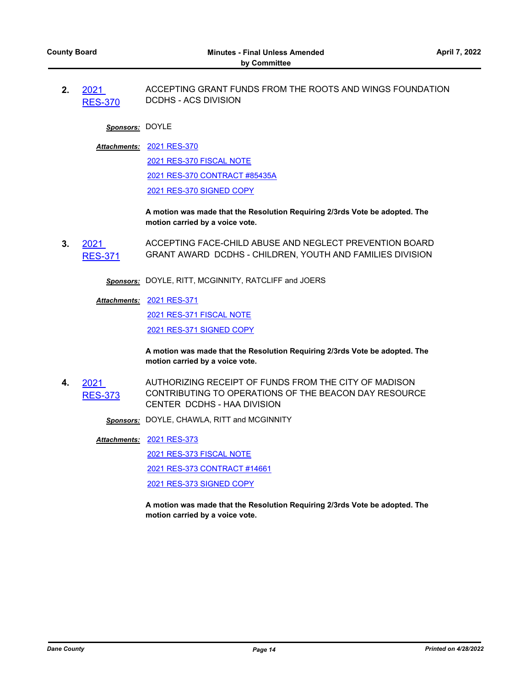**2.** 2021 [RES-370](http://dane.legistar.com/gateway.aspx?m=l&id=/matter.aspx?key=22278) ACCEPTING GRANT FUNDS FROM THE ROOTS AND WINGS FOUNDATION DCDHS - ACS DIVISION

#### *Sponsors:* DOYLE

[2021 RES-370](http://dane.legistar.com/gateway.aspx?M=F&ID=05a937c8-a828-45f9-aae4-e885f56e687d.pdf) *Attachments:*

[2021 RES-370 FISCAL NOTE](http://dane.legistar.com/gateway.aspx?M=F&ID=63c44da7-1b00-4285-8e3b-2a88b43b6b91.pdf) [2021 RES-370 CONTRACT #85435A](http://dane.legistar.com/gateway.aspx?M=F&ID=fa367989-6f86-4e13-a552-5297a619154a.pdf) [2021 RES-370 SIGNED COPY](http://dane.legistar.com/gateway.aspx?M=F&ID=ee480360-359d-499a-8f40-52730b87685b.pdf)

**A motion was made that the Resolution Requiring 2/3rds Vote be adopted. The motion carried by a voice vote.**

**3.** 2021 [RES-371](http://dane.legistar.com/gateway.aspx?m=l&id=/matter.aspx?key=22279) ACCEPTING FACE-CHILD ABUSE AND NEGLECT PREVENTION BOARD GRANT AWARD DCDHS - CHILDREN, YOUTH AND FAMILIES DIVISION

*Sponsors:* DOYLE, RITT, MCGINNITY, RATCLIFF and JOERS

#### [2021 RES-371](http://dane.legistar.com/gateway.aspx?M=F&ID=af77ed71-daf5-4c6b-b5ff-84423dcbb708.pdf) *Attachments:*

[2021 RES-371 FISCAL NOTE](http://dane.legistar.com/gateway.aspx?M=F&ID=b62a55c4-f215-4e48-8c88-ba8d8472526b.pdf) [2021 RES-371 SIGNED COPY](http://dane.legistar.com/gateway.aspx?M=F&ID=34b34c45-11be-4f66-95ac-4664ba66ea64.pdf)

**A motion was made that the Resolution Requiring 2/3rds Vote be adopted. The motion carried by a voice vote.**

**4.** 2021 [RES-373](http://dane.legistar.com/gateway.aspx?m=l&id=/matter.aspx?key=22282) AUTHORIZING RECEIPT OF FUNDS FROM THE CITY OF MADISON CONTRIBUTING TO OPERATIONS OF THE BEACON DAY RESOURCE CENTER DCDHS - HAA DIVISION

*Sponsors:* DOYLE, CHAWLA, RITT and MCGINNITY

[2021 RES-373](http://dane.legistar.com/gateway.aspx?M=F&ID=8bf24216-c88a-4e95-aeed-c094fb5b9aee.pdf) *Attachments:*

[2021 RES-373 FISCAL NOTE](http://dane.legistar.com/gateway.aspx?M=F&ID=e98d57db-0ad6-4bdf-a83f-604ee8bbaac2.pdf)

[2021 RES-373 CONTRACT #14661](http://dane.legistar.com/gateway.aspx?M=F&ID=03889663-2064-4a26-b375-1e4228317fd9.pdf)

[2021 RES-373 SIGNED COPY](http://dane.legistar.com/gateway.aspx?M=F&ID=ea216b2d-4a29-4b21-805b-a91a98a9ccff.pdf)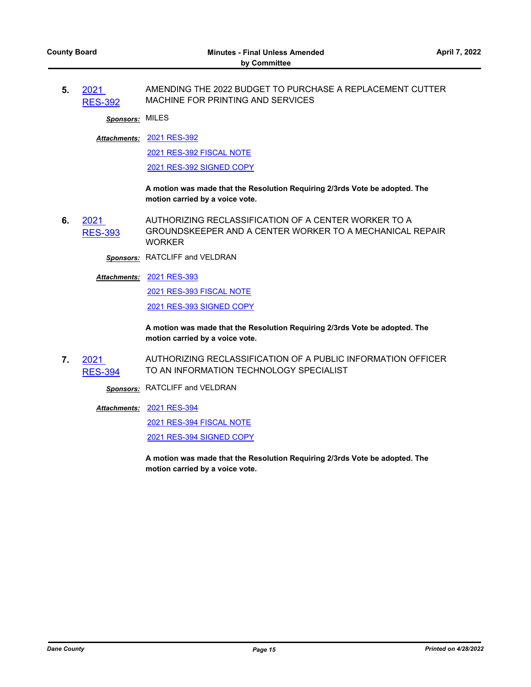**5.** 2021 [RES-392](http://dane.legistar.com/gateway.aspx?m=l&id=/matter.aspx?key=22393) AMENDING THE 2022 BUDGET TO PURCHASE A REPLACEMENT CUTTER MACHINE FOR PRINTING AND SERVICES

*Sponsors:* MILES

[2021 RES-392](http://dane.legistar.com/gateway.aspx?M=F&ID=1364e6e3-4c56-445b-9bd2-f66b3f7d1095.pdf) *Attachments:*

[2021 RES-392 FISCAL NOTE](http://dane.legistar.com/gateway.aspx?M=F&ID=d7930298-b1ab-4c41-8855-7a7441e7bd30.pdf)

[2021 RES-392 SIGNED COPY](http://dane.legistar.com/gateway.aspx?M=F&ID=ab25043b-e0aa-4bde-8fda-b34af8af7c94.pdf)

**A motion was made that the Resolution Requiring 2/3rds Vote be adopted. The motion carried by a voice vote.**

**6.** 2021 [RES-393](http://dane.legistar.com/gateway.aspx?m=l&id=/matter.aspx?key=22400) AUTHORIZING RECLASSIFICATION OF A CENTER WORKER TO A GROUNDSKEEPER AND A CENTER WORKER TO A MECHANICAL REPAIR WORKER

*Sponsors:* RATCLIFF and VELDRAN

[2021 RES-393](http://dane.legistar.com/gateway.aspx?M=F&ID=8325a561-3209-482d-b0e6-d51b0b16b705.pdf) *Attachments:*

[2021 RES-393 FISCAL NOTE](http://dane.legistar.com/gateway.aspx?M=F&ID=b17f1c35-a1c6-4938-9423-ca04f09710dd.pdf) [2021 RES-393 SIGNED COPY](http://dane.legistar.com/gateway.aspx?M=F&ID=d2d4cf68-d24e-4e5e-86a6-8d42f4b21d4d.pdf)

**A motion was made that the Resolution Requiring 2/3rds Vote be adopted. The motion carried by a voice vote.**

**7.** 2021 [RES-394](http://dane.legistar.com/gateway.aspx?m=l&id=/matter.aspx?key=22401) AUTHORIZING RECLASSIFICATION OF A PUBLIC INFORMATION OFFICER TO AN INFORMATION TECHNOLOGY SPECIALIST

*Sponsors:* RATCLIFF and VELDRAN

[2021 RES-394](http://dane.legistar.com/gateway.aspx?M=F&ID=fd9ccdc4-8b22-4217-af6e-83774c05289c.pdf) *Attachments:*

[2021 RES-394 FISCAL NOTE](http://dane.legistar.com/gateway.aspx?M=F&ID=c59cdcd3-94b5-4b4a-a22c-78225ff8880c.pdf)

[2021 RES-394 SIGNED COPY](http://dane.legistar.com/gateway.aspx?M=F&ID=bfb460e3-6e58-4c70-9e35-3acf767e1d7c.pdf)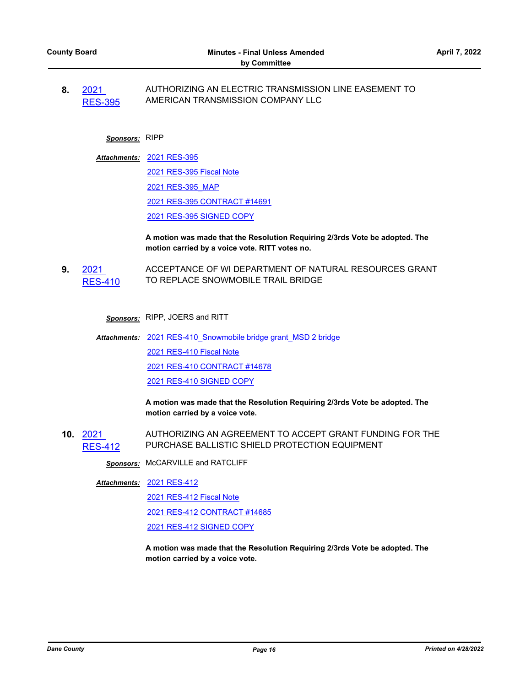**8.** 2021 [RES-395](http://dane.legistar.com/gateway.aspx?m=l&id=/matter.aspx?key=22403) AUTHORIZING AN ELECTRIC TRANSMISSION LINE EASEMENT TO AMERICAN TRANSMISSION COMPANY LLC

## *Sponsors:* RIPP

- [2021 RES-395](http://dane.legistar.com/gateway.aspx?M=F&ID=8f01131e-4cc7-4a49-bc7e-5da7dc5e7d63.pdf) *Attachments:*
	- [2021 RES-395 Fiscal Note](http://dane.legistar.com/gateway.aspx?M=F&ID=d56be122-8a37-40c8-ae88-dceec4d056b2.pdf) [2021 RES-395\\_MAP](http://dane.legistar.com/gateway.aspx?M=F&ID=f24affb4-c905-4b49-b06d-0b2e2d8b1ec0.pdf) [2021 RES-395 CONTRACT #14691](http://dane.legistar.com/gateway.aspx?M=F&ID=6e6c7141-3715-4654-83ff-370ee4bf2bc5.pdf) [2021 RES-395 SIGNED COPY](http://dane.legistar.com/gateway.aspx?M=F&ID=f323fe66-f7f4-4a11-8227-84b76a92b2a4.pdf)

#### **A motion was made that the Resolution Requiring 2/3rds Vote be adopted. The motion carried by a voice vote. RITT votes no.**

**9.** 2021  $ES-410$ ACCEPTANCE OF WI DEPARTMENT OF NATURAL RESOURCES GRANT TO REPLACE SNOWMOBILE TRAIL BRIDGE

*Sponsors:* RIPP, JOERS and RITT

Attachments: 2021 RES-410 Snowmobile bridge grant MSD 2 bridge [2021 RES-410 Fiscal Note](http://dane.legistar.com/gateway.aspx?M=F&ID=79a17821-7520-4277-829c-8d847cb574fe.pdf) [2021 RES-410 CONTRACT #14678](http://dane.legistar.com/gateway.aspx?M=F&ID=16c91c28-f67a-4ba8-aac3-6295bcbaea13.pdf) [2021 RES-410 SIGNED COPY](http://dane.legistar.com/gateway.aspx?M=F&ID=336db843-7849-4083-92c8-f47c86901764.pdf)

> **A motion was made that the Resolution Requiring 2/3rds Vote be adopted. The motion carried by a voice vote.**

**10.** 2021 [RES-412](http://dane.legistar.com/gateway.aspx?m=l&id=/matter.aspx?key=22512) AUTHORIZING AN AGREEMENT TO ACCEPT GRANT FUNDING FOR THE PURCHASE BALLISTIC SHIELD PROTECTION EQUIPMENT

*Sponsors:* McCARVILLE and RATCLIFF

#### [2021 RES-412](http://dane.legistar.com/gateway.aspx?M=F&ID=28dc6040-b8eb-466a-9408-2a8d724a7798.pdf) *Attachments:*

[2021 RES-412 Fiscal Note](http://dane.legistar.com/gateway.aspx?M=F&ID=7f1d20e7-d5aa-448f-a35a-adc3c5a4692a.pdf)

[2021 RES-412 CONTRACT #14685](http://dane.legistar.com/gateway.aspx?M=F&ID=3aa5608f-51a7-4461-850d-e864ee9c86d5.pdf)

[2021 RES-412 SIGNED COPY](http://dane.legistar.com/gateway.aspx?M=F&ID=0ea1080e-f355-4629-b309-acc22a64800e.pdf)